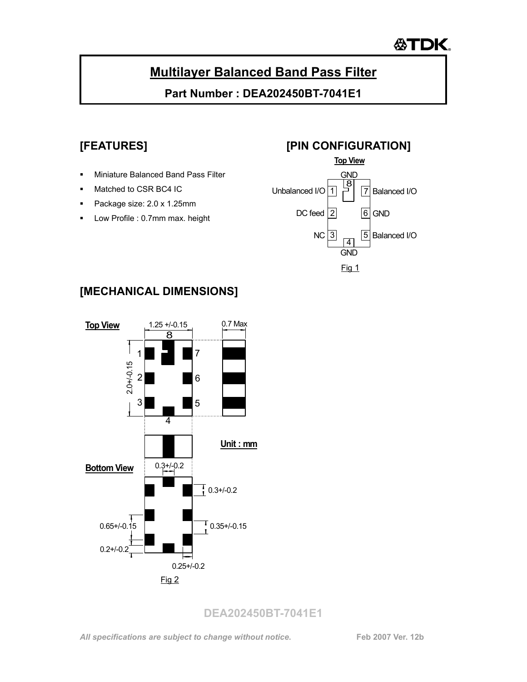# **公TDK**

## **Multilayer Balanced Band Pass Filter**

**Part Number : DEA202450BT-7041E1** 

- **Miniature Balanced Band Pass Filter**
- Matched to CSR BC4 IC
- Package size: 2.0 x 1.25mm
- **Low Profile : 0.7mm max. height**

## **[FEATURES] [PIN CONFIGURATION]**



## **[MECHANICAL DIMENSIONS]**

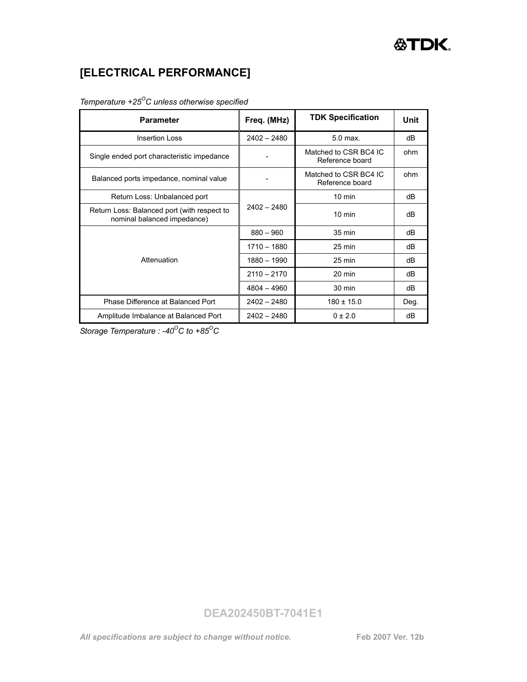## **[ELECTRICAL PERFORMANCE]**

#### *Temperature +25OC unless otherwise specified*

| <b>Parameter</b>                                                           | Freq. (MHz)   | <b>TDK Specification</b>                 | Unit |
|----------------------------------------------------------------------------|---------------|------------------------------------------|------|
| <b>Insertion Loss</b>                                                      | $2402 - 2480$ | $5.0$ max.                               | dВ   |
| Single ended port characteristic impedance                                 |               | Matched to CSR BC4 IC<br>Reference board | ohm  |
| Balanced ports impedance, nominal value                                    |               | Matched to CSR BC4 IC<br>Reference board | ohm  |
| Return Loss: Unbalanced port                                               | $2402 - 2480$ | $10 \text{ min}$                         | dВ   |
| Return Loss: Balanced port (with respect to<br>nominal balanced impedance) |               | $10 \text{ min}$                         | dВ   |
| Attenuation                                                                | $880 - 960$   | 35 min                                   | dВ   |
|                                                                            | 1710 - 1880   | $25 \text{ min}$                         | dВ   |
|                                                                            | 1880 - 1990   | $25 \text{ min}$                         | dВ   |
|                                                                            | $2110 - 2170$ | $20 \text{ min}$                         | dВ   |
|                                                                            | $4804 - 4960$ | $30 \text{ min}$                         | dВ   |
| Phase Difference at Balanced Port                                          | $2402 - 2480$ | $180 \pm 15.0$                           | Deg. |
| Amplitude Imbalance at Balanced Port                                       | $2402 - 2480$ | $0 \pm 2.0$                              | dВ   |

**Storage Temperature : -40<sup>o</sup>C to +85<sup>o</sup>C**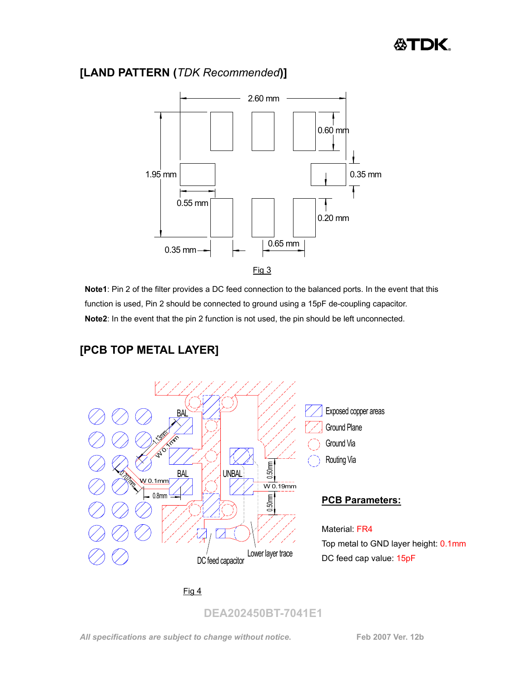#### **[LAND PATTERN (***TDK Recommended***)]**



**Note1**: Pin 2 of the filter provides a DC feed connection to the balanced ports. In the event that this function is used, Pin 2 should be connected to ground using a 15pF de-coupling capacitor. **Note2**: In the event that the pin 2 function is not used, the pin should be left unconnected.



## **[PCB TOP METAL LAYER]**

#### Fig 4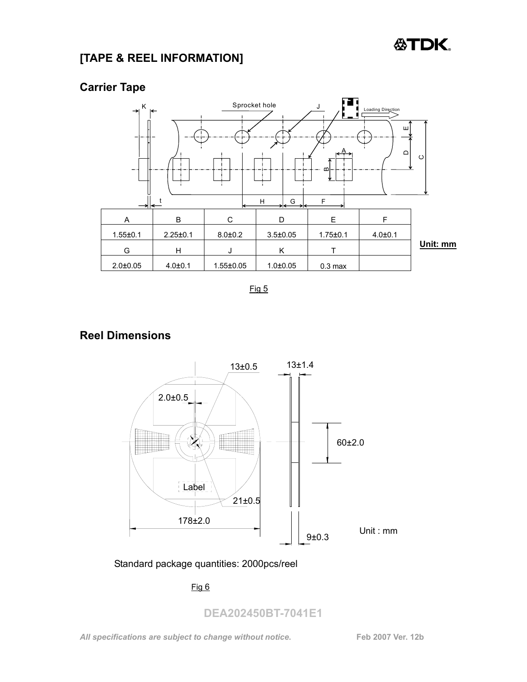# **公TDK**

#### **[TAPE & REEL INFORMATION]**



**Carrier Tape** 

Fig 5

#### **Reel Dimensions**



Standard package quantities: 2000pcs/reel

#### Fig 6